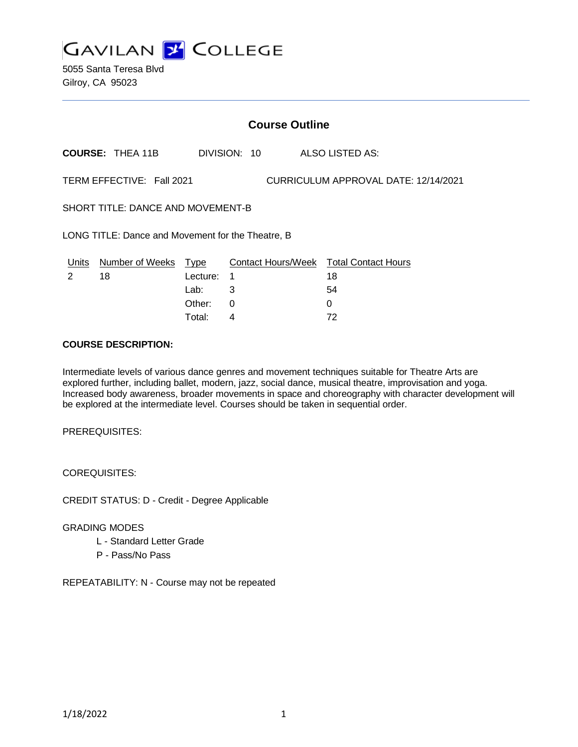**GAVILAN 2 COLLEGE** 

5055 Santa Teresa Blvd Gilroy, CA 95023

# **Course Outline**

**COURSE:** THEA 11B DIVISION: 10 ALSO LISTED AS:

TERM EFFECTIVE: Fall 2021 CURRICULUM APPROVAL DATE: 12/14/2021

SHORT TITLE: DANCE AND MOVEMENT-B

LONG TITLE: Dance and Movement for the Theatre, B

|  | Units Number of Weeks Type |            | Contact Hours/Week Total Contact Hours |    |
|--|----------------------------|------------|----------------------------------------|----|
|  | 18                         | Lecture: 1 |                                        | 18 |
|  |                            | Lab:       |                                        | 54 |
|  |                            | Other: 0   |                                        |    |
|  |                            | Total:     |                                        | 72 |

### **COURSE DESCRIPTION:**

Intermediate levels of various dance genres and movement techniques suitable for Theatre Arts are explored further, including ballet, modern, jazz, social dance, musical theatre, improvisation and yoga. Increased body awareness, broader movements in space and choreography with character development will be explored at the intermediate level. Courses should be taken in sequential order.

PREREQUISITES:

COREQUISITES:

CREDIT STATUS: D - Credit - Degree Applicable

GRADING MODES

- L Standard Letter Grade
- P Pass/No Pass

REPEATABILITY: N - Course may not be repeated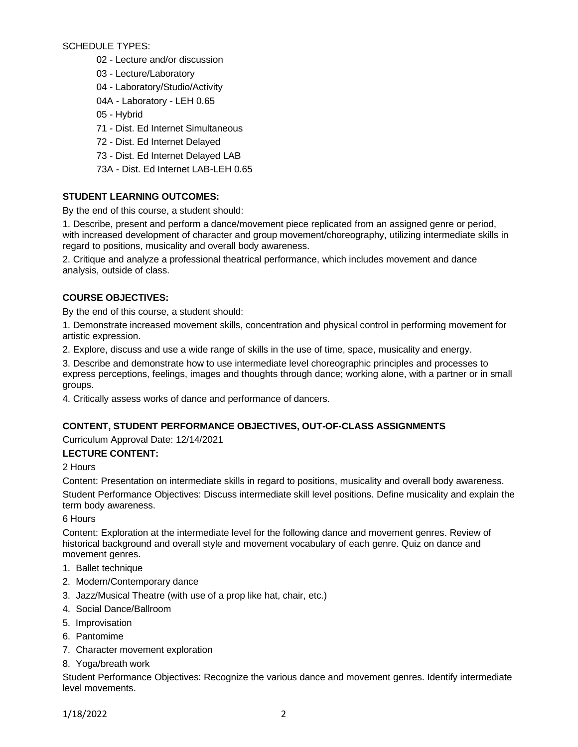SCHEDULE TYPES:

- 02 Lecture and/or discussion
- 03 Lecture/Laboratory
- 04 Laboratory/Studio/Activity
- 04A Laboratory LEH 0.65
- 05 Hybrid
- 71 Dist. Ed Internet Simultaneous
- 72 Dist. Ed Internet Delayed
- 73 Dist. Ed Internet Delayed LAB
- 73A Dist. Ed Internet LAB-LEH 0.65

# **STUDENT LEARNING OUTCOMES:**

By the end of this course, a student should:

1. Describe, present and perform a dance/movement piece replicated from an assigned genre or period, with increased development of character and group movement/choreography, utilizing intermediate skills in regard to positions, musicality and overall body awareness.

2. Critique and analyze a professional theatrical performance, which includes movement and dance analysis, outside of class.

## **COURSE OBJECTIVES:**

By the end of this course, a student should:

1. Demonstrate increased movement skills, concentration and physical control in performing movement for artistic expression.

2. Explore, discuss and use a wide range of skills in the use of time, space, musicality and energy.

3. Describe and demonstrate how to use intermediate level choreographic principles and processes to express perceptions, feelings, images and thoughts through dance; working alone, with a partner or in small groups.

4. Critically assess works of dance and performance of dancers.

# **CONTENT, STUDENT PERFORMANCE OBJECTIVES, OUT-OF-CLASS ASSIGNMENTS**

Curriculum Approval Date: 12/14/2021

### **LECTURE CONTENT:**

### 2 Hours

Content: Presentation on intermediate skills in regard to positions, musicality and overall body awareness.

Student Performance Objectives: Discuss intermediate skill level positions. Define musicality and explain the term body awareness.

6 Hours

Content: Exploration at the intermediate level for the following dance and movement genres. Review of historical background and overall style and movement vocabulary of each genre. Quiz on dance and movement genres.

- 1. Ballet technique
- 2. Modern/Contemporary dance
- 3. Jazz/Musical Theatre (with use of a prop like hat, chair, etc.)
- 4. Social Dance/Ballroom
- 5. Improvisation
- 6. Pantomime
- 7. Character movement exploration
- 8. Yoga/breath work

Student Performance Objectives: Recognize the various dance and movement genres. Identify intermediate level movements.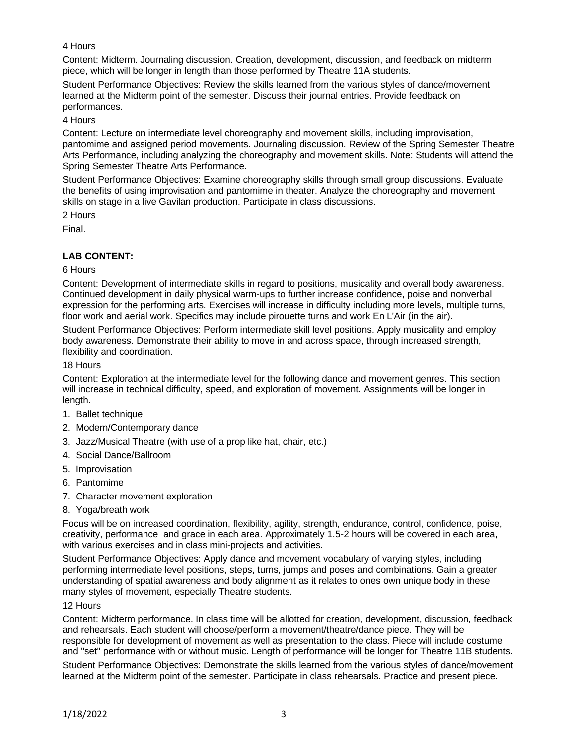## 4 Hours

Content: Midterm. Journaling discussion. Creation, development, discussion, and feedback on midterm piece, which will be longer in length than those performed by Theatre 11A students.

Student Performance Objectives: Review the skills learned from the various styles of dance/movement learned at the Midterm point of the semester. Discuss their journal entries. Provide feedback on performances.

4 Hours

Content: Lecture on intermediate level choreography and movement skills, including improvisation, pantomime and assigned period movements. Journaling discussion. Review of the Spring Semester Theatre Arts Performance, including analyzing the choreography and movement skills. Note: Students will attend the Spring Semester Theatre Arts Performance.

Student Performance Objectives: Examine choreography skills through small group discussions. Evaluate the benefits of using improvisation and pantomime in theater. Analyze the choreography and movement skills on stage in a live Gavilan production. Participate in class discussions.

2 Hours

Final.

# **LAB CONTENT:**

## 6 Hours

Content: Development of intermediate skills in regard to positions, musicality and overall body awareness. Continued development in daily physical warm-ups to further increase confidence, poise and nonverbal expression for the performing arts. Exercises will increase in difficulty including more levels, multiple turns, floor work and aerial work. Specifics may include pirouette turns and work En L'Air (in the air).

Student Performance Objectives: Perform intermediate skill level positions. Apply musicality and employ body awareness. Demonstrate their ability to move in and across space, through increased strength, flexibility and coordination.

18 Hours

Content: Exploration at the intermediate level for the following dance and movement genres. This section will increase in technical difficulty, speed, and exploration of movement. Assignments will be longer in length.

- 1. Ballet technique
- 2. Modern/Contemporary dance
- 3. Jazz/Musical Theatre (with use of a prop like hat, chair, etc.)
- 4. Social Dance/Ballroom
- 5. Improvisation
- 6. Pantomime
- 7. Character movement exploration
- 8. Yoga/breath work

Focus will be on increased coordination, flexibility, agility, strength, endurance, control, confidence, poise, creativity, performance and grace in each area. Approximately 1.5-2 hours will be covered in each area, with various exercises and in class mini-projects and activities.

Student Performance Objectives: Apply dance and movement vocabulary of varying styles, including performing intermediate level positions, steps, turns, jumps and poses and combinations. Gain a greater understanding of spatial awareness and body alignment as it relates to ones own unique body in these many styles of movement, especially Theatre students.

### 12 Hours

Content: Midterm performance. In class time will be allotted for creation, development, discussion, feedback and rehearsals. Each student will choose/perform a movement/theatre/dance piece. They will be responsible for development of movement as well as presentation to the class. Piece will include costume and "set" performance with or without music. Length of performance will be longer for Theatre 11B students. Student Performance Objectives: Demonstrate the skills learned from the various styles of dance/movement learned at the Midterm point of the semester. Participate in class rehearsals. Practice and present piece.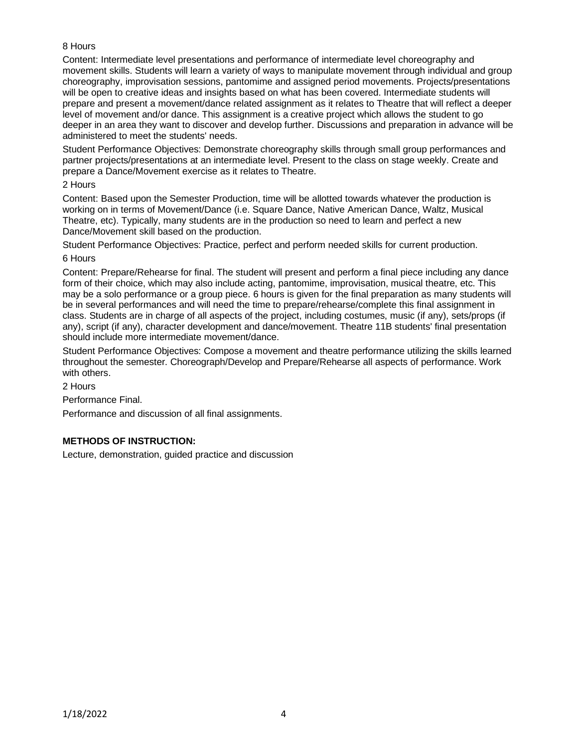## 8 Hours

Content: Intermediate level presentations and performance of intermediate level choreography and movement skills. Students will learn a variety of ways to manipulate movement through individual and group choreography, improvisation sessions, pantomime and assigned period movements. Projects/presentations will be open to creative ideas and insights based on what has been covered. Intermediate students will prepare and present a movement/dance related assignment as it relates to Theatre that will reflect a deeper level of movement and/or dance. This assignment is a creative project which allows the student to go deeper in an area they want to discover and develop further. Discussions and preparation in advance will be administered to meet the students' needs.

Student Performance Objectives: Demonstrate choreography skills through small group performances and partner projects/presentations at an intermediate level. Present to the class on stage weekly. Create and prepare a Dance/Movement exercise as it relates to Theatre.

#### 2 Hours

Content: Based upon the Semester Production, time will be allotted towards whatever the production is working on in terms of Movement/Dance (i.e. Square Dance, Native American Dance, Waltz, Musical Theatre, etc). Typically, many students are in the production so need to learn and perfect a new Dance/Movement skill based on the production.

Student Performance Objectives: Practice, perfect and perform needed skills for current production.

### 6 Hours

Content: Prepare/Rehearse for final. The student will present and perform a final piece including any dance form of their choice, which may also include acting, pantomime, improvisation, musical theatre, etc. This may be a solo performance or a group piece. 6 hours is given for the final preparation as many students will be in several performances and will need the time to prepare/rehearse/complete this final assignment in class. Students are in charge of all aspects of the project, including costumes, music (if any), sets/props (if any), script (if any), character development and dance/movement. Theatre 11B students' final presentation should include more intermediate movement/dance.

Student Performance Objectives: Compose a movement and theatre performance utilizing the skills learned throughout the semester. Choreograph/Develop and Prepare/Rehearse all aspects of performance. Work with others.

2 Hours

Performance Final.

Performance and discussion of all final assignments.

# **METHODS OF INSTRUCTION:**

Lecture, demonstration, guided practice and discussion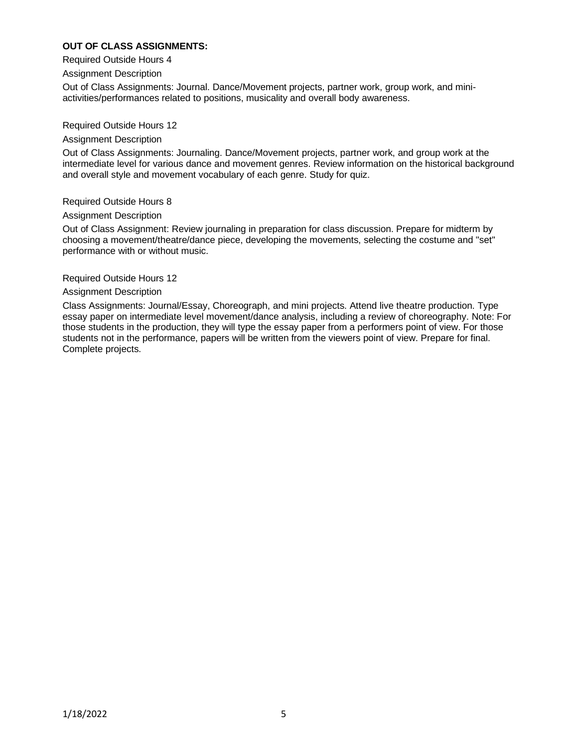## **OUT OF CLASS ASSIGNMENTS:**

Required Outside Hours 4

Assignment Description

Out of Class Assignments: Journal. Dance/Movement projects, partner work, group work, and miniactivities/performances related to positions, musicality and overall body awareness.

Required Outside Hours 12

#### Assignment Description

Out of Class Assignments: Journaling. Dance/Movement projects, partner work, and group work at the intermediate level for various dance and movement genres. Review information on the historical background and overall style and movement vocabulary of each genre. Study for quiz.

Required Outside Hours 8

#### Assignment Description

Out of Class Assignment: Review journaling in preparation for class discussion. Prepare for midterm by choosing a movement/theatre/dance piece, developing the movements, selecting the costume and "set" performance with or without music.

#### Required Outside Hours 12

#### Assignment Description

Class Assignments: Journal/Essay, Choreograph, and mini projects. Attend live theatre production. Type essay paper on intermediate level movement/dance analysis, including a review of choreography. Note: For those students in the production, they will type the essay paper from a performers point of view. For those students not in the performance, papers will be written from the viewers point of view. Prepare for final. Complete projects.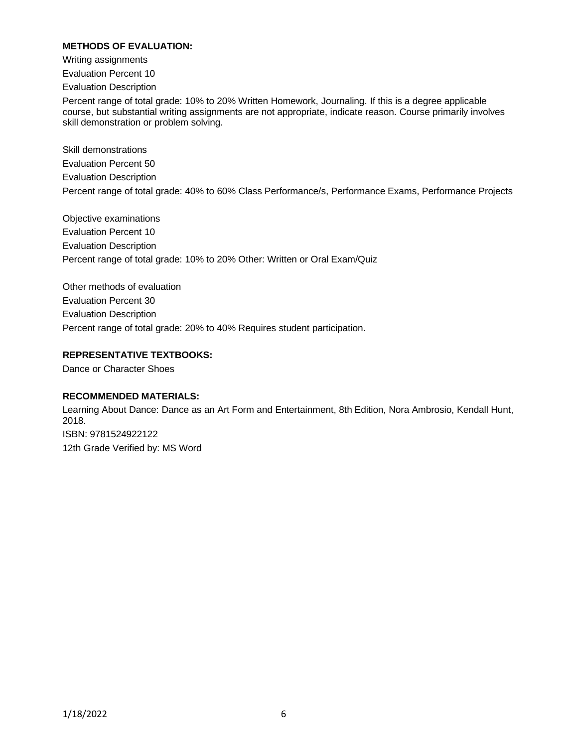## **METHODS OF EVALUATION:**

Writing assignments

Evaluation Percent 10

Evaluation Description

Percent range of total grade: 10% to 20% Written Homework, Journaling. If this is a degree applicable course, but substantial writing assignments are not appropriate, indicate reason. Course primarily involves skill demonstration or problem solving.

Skill demonstrations Evaluation Percent 50 Evaluation Description Percent range of total grade: 40% to 60% Class Performance/s, Performance Exams, Performance Projects

Objective examinations Evaluation Percent 10 Evaluation Description Percent range of total grade: 10% to 20% Other: Written or Oral Exam/Quiz

Other methods of evaluation Evaluation Percent 30 Evaluation Description Percent range of total grade: 20% to 40% Requires student participation.

## **REPRESENTATIVE TEXTBOOKS:**

Dance or Character Shoes

### **RECOMMENDED MATERIALS:**

Learning About Dance: Dance as an Art Form and Entertainment, 8th Edition, Nora Ambrosio, Kendall Hunt, 2018. ISBN: 9781524922122 12th Grade Verified by: MS Word